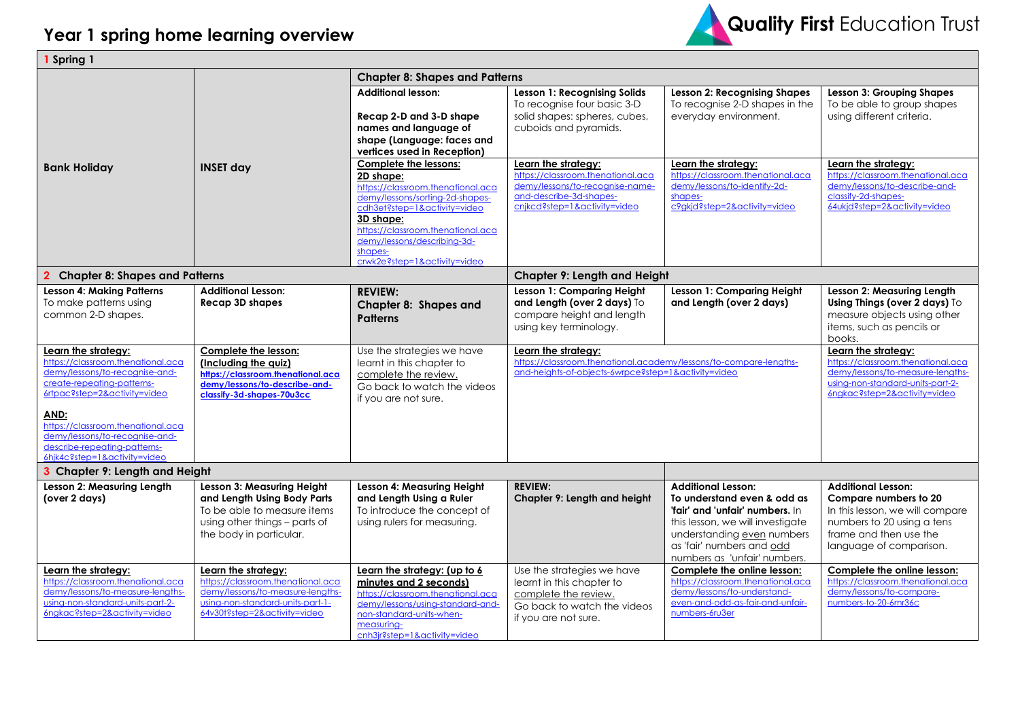

| 1 Spring 1                                                                                                                                                                                                                                                                                              |                                                                                                                                                                  |                                                                                                                                                                                                                                                                        |                                                                                                                                                        |                                                                                                                                                                                                                            |                                                                                                                                                                          |  |
|---------------------------------------------------------------------------------------------------------------------------------------------------------------------------------------------------------------------------------------------------------------------------------------------------------|------------------------------------------------------------------------------------------------------------------------------------------------------------------|------------------------------------------------------------------------------------------------------------------------------------------------------------------------------------------------------------------------------------------------------------------------|--------------------------------------------------------------------------------------------------------------------------------------------------------|----------------------------------------------------------------------------------------------------------------------------------------------------------------------------------------------------------------------------|--------------------------------------------------------------------------------------------------------------------------------------------------------------------------|--|
|                                                                                                                                                                                                                                                                                                         |                                                                                                                                                                  | <b>Chapter 8: Shapes and Patterns</b>                                                                                                                                                                                                                                  |                                                                                                                                                        |                                                                                                                                                                                                                            |                                                                                                                                                                          |  |
|                                                                                                                                                                                                                                                                                                         |                                                                                                                                                                  | <b>Additional lesson:</b><br>Recap 2-D and 3-D shape<br>names and language of<br>shape (Language: faces and<br>vertices used in Reception)                                                                                                                             | <b>Lesson 1: Recognising Solids</b><br>To recognise four basic 3-D<br>solid shapes: spheres, cubes,<br>cuboids and pyramids.                           | <b>Lesson 2: Recognising Shapes</b><br>To recognise 2-D shapes in the<br>everyday environment.                                                                                                                             | <b>Lesson 3: Grouping Shapes</b><br>To be able to group shapes<br>using different criteria.                                                                              |  |
| <b>Bank Holiday</b>                                                                                                                                                                                                                                                                                     | <b>INSET day</b>                                                                                                                                                 | Complete the lessons:<br>2D shape:<br>https://classroom.thenational.aca<br>demy/lessons/sorting-2d-shapes-<br>cdh3et?step=1&activity=video<br>3D shape:<br>https://classroom.thenational.aca<br>demy/lessons/describing-3d-<br>shapes-<br>crwk2e?step=1&activity=video | Learn the strategy:<br>https://classroom.thenational.aca<br>demy/lessons/to-recognise-name-<br>and-describe-3d-shapes-<br>cnjkcd?step=1&activity=video | Learn the strategy:<br>https://classroom.thenational.aca<br>demy/lessons/to-identify-2d-<br>shapes-<br>c9gkjd?step=2&activity=video                                                                                        | Learn the strategy:<br>https://classroom.thenational.aca<br>demy/lessons/to-describe-and-<br>classify-2d-shapes-<br>64 ukjd?step=2& activity=video                       |  |
| <b>Chapter 8: Shapes and Patterns</b><br>$\mathbf{2}$                                                                                                                                                                                                                                                   |                                                                                                                                                                  |                                                                                                                                                                                                                                                                        | <b>Chapter 9: Length and Height</b>                                                                                                                    |                                                                                                                                                                                                                            |                                                                                                                                                                          |  |
| <b>Lesson 4: Making Patterns</b><br>To make patterns using<br>common 2-D shapes.                                                                                                                                                                                                                        | <b>Additional Lesson:</b><br><b>Recap 3D shapes</b>                                                                                                              | <b>REVIEW:</b><br><b>Chapter 8: Shapes and</b><br><b>Patterns</b>                                                                                                                                                                                                      | Lesson 1: Comparing Height<br>and Length (over 2 days) To<br>compare height and length<br>using key terminology.                                       | Lesson 1: Comparing Height<br>and Length (over 2 days)                                                                                                                                                                     | Lesson 2: Measuring Length<br>Using Things (over 2 days) To<br>measure objects using other<br>items, such as pencils or<br>books.                                        |  |
| Learn the strategy:<br>https://classroom.thenational.aca<br>demy/lessons/to-recognise-and-<br>create-repeating-patterns-<br>6rtpac?step=2&activity=video<br>AND:<br>https://classroom.thenational.aca<br>demy/lessons/to-recognise-and-<br>describe-repeating-patterns-<br>6hjk4c?step=1&activity=video | Complete the lesson:<br>(Including the quiz)<br>https://classroom.thenational.aca<br>demy/lessons/to-describe-and-<br>classify-3d-shapes-70u3cc                  | Use the strategies we have<br>learnt in this chapter to<br>complete the review.<br>Go back to watch the videos<br>if you are not sure.                                                                                                                                 | Learn the strategy:<br>https://classroom.thenational.academy/lessons/to-compare-lengths-<br>and-heights-of-objects-6wrpce?step=1&activity=video        |                                                                                                                                                                                                                            | Learn the strategy:<br>https://classroom.thenational.aca<br>demy/lessons/to-measure-lengths-<br>using-non-standard-units-part-2-<br>6ngkac?step=2&activity=video         |  |
| 3 Chapter 9: Length and Height                                                                                                                                                                                                                                                                          |                                                                                                                                                                  |                                                                                                                                                                                                                                                                        |                                                                                                                                                        |                                                                                                                                                                                                                            |                                                                                                                                                                          |  |
| Lesson 2: Measuring Length<br>(over 2 days)                                                                                                                                                                                                                                                             | Lesson 3: Measuring Height<br>and Length Using Body Parts<br>To be able to measure items<br>using other things - parts of<br>the body in particular.             | Lesson 4: Measuring Height<br>and Length Using a Ruler<br>To introduce the concept of<br>using rulers for measuring.                                                                                                                                                   | <b>REVIEW:</b><br>Chapter 9: Length and height                                                                                                         | <b>Additional Lesson:</b><br>To understand even & odd as<br>'fair' and 'unfair' numbers. In<br>this lesson, we will investigate<br>understanding even numbers<br>as 'fair' numbers and odd<br>numbers as 'unfair' numbers. | <b>Additional Lesson:</b><br>Compare numbers to 20<br>In this lesson, we will compare<br>numbers to 20 using a tens<br>frame and then use the<br>language of comparison. |  |
| Learn the strategy:<br>https://classroom.thenational.aca<br>demy/lessons/to-measure-lengths-<br>using-non-standard-units-part-2-<br>6ngkac?step=2&activity=video                                                                                                                                        | Learn the strategy:<br>https://classroom.thenational.aca<br>demy/lessons/to-measure-lengths-<br>using-non-standard-units-part-1-<br>64v30t?step=2&activity=video | Learn the strategy: (up to 6<br>minutes and 2 seconds)<br>https://classroom.thenational.aca<br>demy/lessons/using-standard-and-<br>non-standard-units-when-<br>measuring-<br>cnh3jr?step=1&activity=video                                                              | Use the strategies we have<br>learnt in this chapter to<br>complete the review.<br>Go back to watch the videos<br>if you are not sure.                 | Complete the online lesson:<br>https://classroom.thenational.aca<br>demy/lessons/to-understand-<br>even-and-odd-as-fair-and-unfair-<br>numbers-6ru3er                                                                      | Complete the online lesson:<br>https://classroom.thenational.aca<br>demy/lessons/to-compare-<br>numbers-to-20-6mr36c                                                     |  |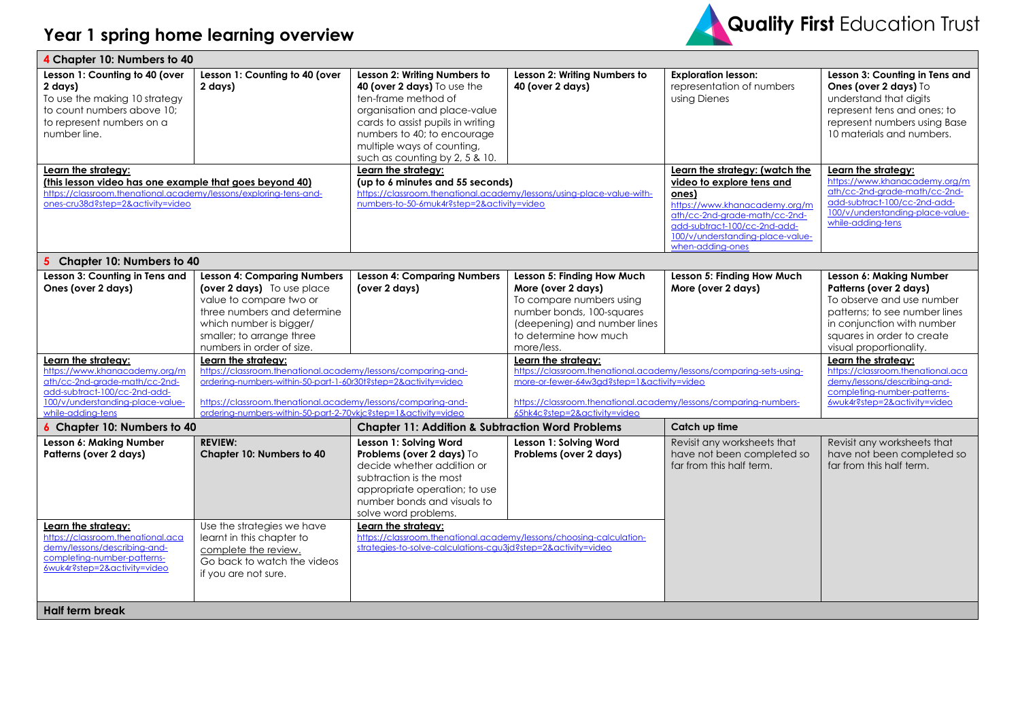

| 4 Chapter 10: Numbers to 40                                                                                                                                                              |                                                                                                                                                                                                                                                                                         |                                                                                                                                                                                                                                                        |                                                                                                                                                                                  |                                                                                                                                                                                                                                |                                                                                                                                                                                                        |  |
|------------------------------------------------------------------------------------------------------------------------------------------------------------------------------------------|-----------------------------------------------------------------------------------------------------------------------------------------------------------------------------------------------------------------------------------------------------------------------------------------|--------------------------------------------------------------------------------------------------------------------------------------------------------------------------------------------------------------------------------------------------------|----------------------------------------------------------------------------------------------------------------------------------------------------------------------------------|--------------------------------------------------------------------------------------------------------------------------------------------------------------------------------------------------------------------------------|--------------------------------------------------------------------------------------------------------------------------------------------------------------------------------------------------------|--|
| Lesson 1: Counting to 40 (over<br>2 days)<br>To use the making 10 strategy<br>to count numbers above 10;<br>to represent numbers on a<br>number line.                                    | Lesson 1: Counting to 40 (over<br>2 days)                                                                                                                                                                                                                                               | Lesson 2: Writing Numbers to<br>40 (over 2 days) To use the<br>ten-frame method of<br>organisation and place-value<br>cards to assist pupils in writing<br>numbers to 40; to encourage<br>multiple ways of counting,<br>such as counting by 2, 5 & 10. | Lesson 2: Writing Numbers to<br>40 (over 2 days)                                                                                                                                 | <b>Exploration lesson:</b><br>representation of numbers<br>using Dienes                                                                                                                                                        | Lesson 3: Counting in Tens and<br>Ones (over 2 days) To<br>understand that digits<br>represent tens and ones; to<br>represent numbers using Base<br>10 materials and numbers.                          |  |
| Learn the strategy:<br>(this lesson video has one example that goes beyond 40)<br>https://classroom.thenational.academy/lessons/exploring-tens-and-<br>ones-cru38d?step=2&activity=video |                                                                                                                                                                                                                                                                                         | Learn the strategy:<br>(up to 6 minutes and 55 seconds)<br>https://classroom.thenational.academy/lessons/using-place-value-with-<br>numbers-to-50-6muk4r?step=2&activity=video                                                                         |                                                                                                                                                                                  | Learn the strategy: (watch the<br>video to explore tens and<br>ones)<br>https://www.khanacademy.ora/m<br>ath/cc-2nd-grade-math/cc-2nd-<br>add-subtract-100/cc-2nd-add-<br>100/v/understanding-place-value-<br>when-adding-ones | Learn the strategy:<br>https://www.khanacademy.org/m<br>ath/cc-2nd-grade-math/cc-2nd-<br>add-subtract-100/cc-2nd-add-<br>100/v/understanding-place-value-<br>while-adding-tens                         |  |
| 5 Chapter 10: Numbers to 40                                                                                                                                                              |                                                                                                                                                                                                                                                                                         |                                                                                                                                                                                                                                                        |                                                                                                                                                                                  |                                                                                                                                                                                                                                |                                                                                                                                                                                                        |  |
| Lesson 3: Counting in Tens and<br>Ones (over 2 days)                                                                                                                                     | <b>Lesson 4: Comparing Numbers</b><br>(over 2 days) To use place<br>value to compare two or<br>three numbers and determine<br>which number is bigger/<br>smaller; to arrange three<br>numbers in order of size.                                                                         | <b>Lesson 4: Comparing Numbers</b><br>(over 2 days)                                                                                                                                                                                                    | Lesson 5: Finding How Much<br>More (over 2 days)<br>To compare numbers using<br>number bonds, 100-squares<br>(deepening) and number lines<br>to determine how much<br>more/less. | Lesson 5: Finding How Much<br>More (over 2 days)                                                                                                                                                                               | Lesson 6: Making Number<br>Patterns (over 2 days)<br>To observe and use number<br>patterns: to see number lines<br>in conjunction with number<br>squares in order to create<br>visual proportionality. |  |
| Learn the strategy:<br>https://www.khanacademy.org/m<br>ath/cc-2nd-grade-math/cc-2nd-<br>add-subtract-100/cc-2nd-add-<br>100/v/understanding-place-value-<br>while-adding-tens           | Learn the strategy:<br>https://classroom.thenational.academy/lessons/comparing-and-<br>ordering-numbers-within-50-part-1-60r30t?step=2&activity=video<br>https://classroom.thenational.academy/lessons/comparing-and-<br>ordering-numbers-within-50-part-2-70vkjc?step=1&activity=video | Learn the strategy:<br>https://classroom.thenational.academy/lessons/comparing-sets-using-<br>more-or-fewer-64w3gd?step=1&activity=video<br>https://classroom.thenational.academy/lessons/comparing-numbers-<br>65hk4c?step=2&activity=video           |                                                                                                                                                                                  |                                                                                                                                                                                                                                | Learn the strategy:<br>https://classroom.thenational.aca<br>demy/lessons/describing-and-<br>completing-number-patterns-<br>6wuk4r?step=2&activity=video                                                |  |
| 6 Chapter 10: Numbers to 40                                                                                                                                                              |                                                                                                                                                                                                                                                                                         | <b>Chapter 11: Addition &amp; Subtraction Word Problems</b><br>Catch up time                                                                                                                                                                           |                                                                                                                                                                                  |                                                                                                                                                                                                                                |                                                                                                                                                                                                        |  |
| Lesson 6: Making Number<br>Patterns (over 2 days)                                                                                                                                        | <b>REVIEW:</b><br>Chapter 10: Numbers to 40                                                                                                                                                                                                                                             | Lesson 1: Solving Word<br>Problems (over 2 days) To<br>decide whether addition or<br>subtraction is the most<br>appropriate operation; to use<br>number bonds and visuals to<br>solve word problems.                                                   | Lesson 1: Solving Word<br>Problems (over 2 days)                                                                                                                                 | Revisit any worksheets that<br>have not been completed so<br>far from this half term.                                                                                                                                          | Revisit any worksheets that<br>have not been completed so<br>far from this half term.                                                                                                                  |  |
| Learn the strategy:<br>https://classroom.thenational.aca<br>demy/lessons/describing-and-<br>completing-number-patterns-<br>6wuk4r?step=2&activity=video                                  | Use the strategies we have<br>learnt in this chapter to<br>complete the review.<br>Go back to watch the videos<br>if you are not sure.                                                                                                                                                  | Learn the strategy:<br>https://classroom.thenational.academy/lessons/choosing-calculation-<br>strategies-to-solve-calculations-cgu3jd?step=2&activity=video                                                                                            |                                                                                                                                                                                  |                                                                                                                                                                                                                                |                                                                                                                                                                                                        |  |
| <b>Half term break</b>                                                                                                                                                                   |                                                                                                                                                                                                                                                                                         |                                                                                                                                                                                                                                                        |                                                                                                                                                                                  |                                                                                                                                                                                                                                |                                                                                                                                                                                                        |  |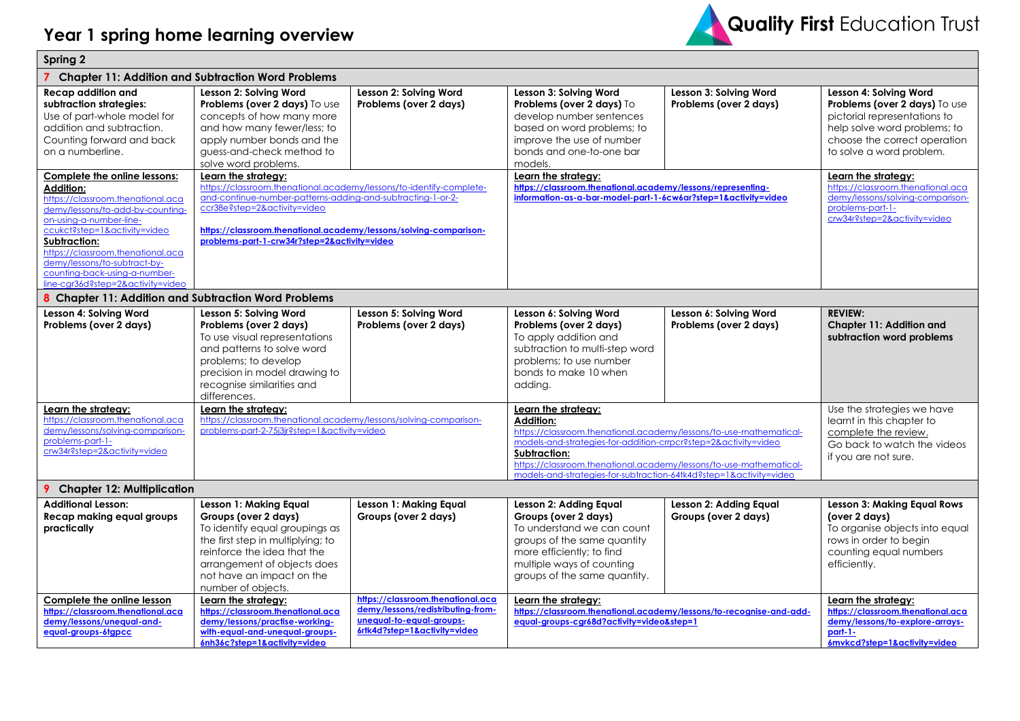## **Year 1 spring home learning overview**



| <b>Spring 2</b>                                                                                                                                                                                                                                                                                                 |                                                                                                                                                                                                                                                                                         |                                                                                                                                    |                                                                                                                                                                                                                                                                                                                                              |                                                       |                                                                                                                                                                                                            |  |
|-----------------------------------------------------------------------------------------------------------------------------------------------------------------------------------------------------------------------------------------------------------------------------------------------------------------|-----------------------------------------------------------------------------------------------------------------------------------------------------------------------------------------------------------------------------------------------------------------------------------------|------------------------------------------------------------------------------------------------------------------------------------|----------------------------------------------------------------------------------------------------------------------------------------------------------------------------------------------------------------------------------------------------------------------------------------------------------------------------------------------|-------------------------------------------------------|------------------------------------------------------------------------------------------------------------------------------------------------------------------------------------------------------------|--|
| <b>Chapter 11: Addition and Subtraction Word Problems</b>                                                                                                                                                                                                                                                       |                                                                                                                                                                                                                                                                                         |                                                                                                                                    |                                                                                                                                                                                                                                                                                                                                              |                                                       |                                                                                                                                                                                                            |  |
| Recap addition and<br>subtraction strategies:<br>Use of part-whole model for<br>addition and subtraction.<br>Counting forward and back<br>on a numberline.<br>Complete the online lessons:                                                                                                                      | Lesson 2: Solving Word<br>Problems (over 2 days) To use<br>concepts of how many more<br>and how many fewer/less; to<br>apply number bonds and the<br>guess-and-check method to<br>solve word problems.<br>Learn the strategy:                                                           | Lesson 2: Solving Word<br>Problems (over 2 days)                                                                                   | Lesson 3: Solving Word<br>Problems (over 2 days) To<br>develop number sentences<br>based on word problems; to<br>improve the use of number<br>bonds and one-to-one bar<br>models.<br>Learn the strategy:                                                                                                                                     | Lesson 3: Solving Word<br>Problems (over 2 days)      | Lesson 4: Solving Word<br>Problems (over 2 days) To use<br>pictorial representations to<br>help solve word problems; to<br>choose the correct operation<br>to solve a word problem.<br>Learn the strategy: |  |
| <b>Addition:</b><br>https://classroom.thenational.aca<br>demy/lessons/to-add-by-counting-<br>on-using-a-number-line-<br>ccukct?step=1&activity=video<br>Subtraction:<br>https://classroom.thenational.aca<br>demy/lessons/to-subtract-by-<br>counting-back-using-a-number-<br>line-car36d?step=2&activity=video | https://classroom.thenational.academy/lessons/to-identify-complete-<br>and-continue-number-patterns-adding-and-subtracting-1-or-2-<br>ccr38e?step=2&activity=video<br>https://classroom.thenational.academy/lessons/solving-comparison-<br>problems-part-1-crw34r?step=2&activity=video |                                                                                                                                    | https://classroom.thenational.academy/lessons/representing-<br>information-as-a-bar-model-part-1-6cw6ar?step=1&activity=video                                                                                                                                                                                                                |                                                       | https://classroom.thenational.aca<br>demy/lessons/solving-comparison-<br>problems-part-1-<br>crw34r?step=2&activity=video                                                                                  |  |
| 8 Chapter 11: Addition and Subtraction Word Problems                                                                                                                                                                                                                                                            |                                                                                                                                                                                                                                                                                         |                                                                                                                                    |                                                                                                                                                                                                                                                                                                                                              |                                                       |                                                                                                                                                                                                            |  |
| Lesson 4: Solving Word<br>Problems (over 2 days)                                                                                                                                                                                                                                                                | Lesson 5: Solving Word<br>Problems (over 2 days)<br>To use visual representations<br>and patterns to solve word<br>problems; to develop<br>precision in model drawing to<br>recognise similarities and<br>differences.                                                                  | Lesson 5: Solving Word<br>Problems (over 2 days)                                                                                   | Lesson 6: Solving Word<br>Problems (over 2 days)<br>To apply addition and<br>subtraction to multi-step word<br>problems: to use number<br>bonds to make 10 when<br>adding.                                                                                                                                                                   | Lesson 6: Solving Word<br>Problems (over 2 days)      | <b>REVIEW:</b><br>Chapter 11: Addition and<br>subtraction word problems                                                                                                                                    |  |
| Learn the strategy:<br>https://classroom.thenational.aca<br>demy/lessons/solving-comparison-<br>problems-part-1-<br>crw34r?step=2&activity=video                                                                                                                                                                | Learn the strategy:<br>https://classroom.thenational.academy/lessons/solving-comparison-<br>problems-part-2-75j3jr?step=1&activity=video                                                                                                                                                |                                                                                                                                    | Learn the strategy:<br>Addition:<br>https://classroom.thenational.academy/lessons/to-use-mathematical-<br>models-and-strategies-for-addition-crrpcr?step=2&activity=video<br><b>Subtraction:</b><br>https://classroom.thenational.academy/lessons/to-use-mathematical-<br>models-and-strategies-for-subtraction-64tk4d?step=1&activity=video |                                                       | Use the strategies we have<br>learnt in this chapter to<br>complete the review.<br>Go back to watch the videos<br>if you are not sure.                                                                     |  |
| <b>Chapter 12: Multiplication</b><br>9.                                                                                                                                                                                                                                                                         |                                                                                                                                                                                                                                                                                         |                                                                                                                                    |                                                                                                                                                                                                                                                                                                                                              |                                                       |                                                                                                                                                                                                            |  |
| <b>Additional Lesson:</b><br>Recap making equal groups<br>practically                                                                                                                                                                                                                                           | Lesson 1: Making Equal<br>Groups (over 2 days)<br>To identify equal groupings as<br>the first step in multiplying; to<br>reinforce the idea that the<br>arrangement of objects does<br>not have an impact on the<br>number of objects.                                                  | <b>Lesson 1: Making Equal</b><br>Groups (over 2 days)                                                                              | Lesson 2: Adding Equal<br>Groups (over 2 days)<br>To understand we can count<br>groups of the same quantity<br>more efficiently; to find<br>multiple ways of counting<br>groups of the same quantity.                                                                                                                                        | <b>Lesson 2: Adding Equal</b><br>Groups (over 2 days) | <b>Lesson 3: Making Equal Rows</b><br>(over 2 days)<br>To organise objects into equal<br>rows in order to begin<br>counting equal numbers<br>efficiently.                                                  |  |
| Complete the online lesson<br>https://classroom.thenational.aca<br>demy/lessons/unequal-and-<br>equal-groups-6tgpcc                                                                                                                                                                                             | Learn the strategy:<br>https://classroom.thenational.aca<br>demy/lessons/practise-working-<br>with-equal-and-unequal-groups-<br>6nh36c?step=1&activity=video                                                                                                                            | https://classroom.thenational.aca<br>demy/lessons/redistributing-from-<br>uneaual-to-eaual-aroups-<br>6rtk4d?step=1&activitv=video | Learn the strategy:<br>https://classroom.thenational.academy/lessons/to-recognise-and-add-<br>equal-groups-cgr68d?activity=video&step=1                                                                                                                                                                                                      |                                                       | Learn the strategy:<br>https://classroom.thenational.aca<br>demy/lessons/to-explore-arrays-<br>$part-1-$<br>6mvkcd?step=1&activity=video                                                                   |  |